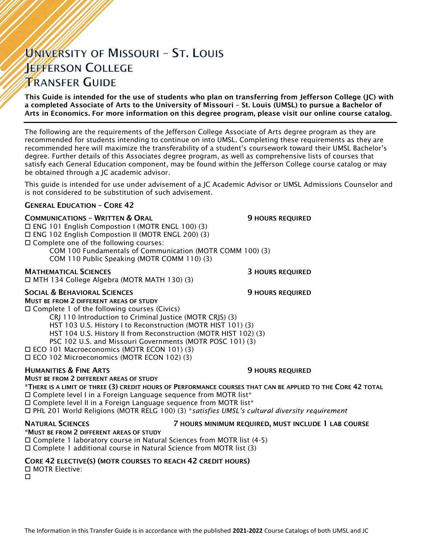# UNIVERSITY OF MISSOURI - ST. LOUIS **JEFFERSON COLLEGE TRANSFER GUIDE**

This Guide is intended for the use of students who plan on transferring from Jefferson College (JC) with a completed Associate of Arts to the University of Missouri – St. Louis (UMSL) to pursue a Bachelor of Arts in Economics. For more information on this degree program, please visit our online course catalog.

The following are the requirements of the Jefferson College Associate of Arts degree program as they are recommended for students intending to continue on into UMSL. Completing these requirements as they are recommended here will maximize the transferability of a student's coursework toward their UMSL Bachelor's degree. Further details of this Associates degree program, as well as comprehensive lists of courses that satisfy each General Education component, may be found within the Jefferson College course catalog or may be obtained through a JC academic advisor.

This guide is intended for use under advisement of a JC Academic Advisor or UMSL Admissions Counselor and is not considered to be substitution of such advisement.

### GENERAL EDUCATION – CORE 42

### **COMMUNICATIONS - WRITTEN & ORAL 50 COMMUNICATIONS - WRITTEN & ORAL 50 MILLS**

 ENG 101 English Compostion I (MOTR ENGL 100) (3) ENG 102 English Compostion II (MOTR ENGL 200) (3) Complete one of the following courses:

COM 100 Fundamentals of Communication (MOTR COMM 100) (3)

COM 110 Public Speaking (MOTR COMM 110) (3)

### MATHEMATICAL SCIENCES 3 HOURS REQUIRED

MTH 134 College Algebra (MOTR MATH 130) (3)

### SOCIAL & BEHAVIORAL SCIENCES **19 SOCIAL ALCORATIVE SECUPIER SOCIAL AREA**

MUST BE FROM 2 DIFFERENT AREAS OF STUDY

 $\square$  Complete 1 of the following courses (Civics) CRJ 110 Introduction to Criminal Justice (MOTR CRJS) (3)

HST 103 U.S. History I to Reconstruction (MOTR HIST 101) (3)

HST 104 U.S. History II from Reconstruction (MOTR HIST 102) (3)

PSC 102 U.S. and Missouri Governments (MOTR POSC 101) (3)

ECO 101 Macroeconomics (MOTR ECON 101) (3)

ECO 102 Microeconomics (MOTR ECON 102) (3)

### **HUMANITIES & FINE ARTS 19 ACCESS 20 HOURS REQUIRED**

### MUST BE FROM 2 DIFFERENT AREAS OF STUDY

\*THERE IS A LIMIT OF THREE (3) CREDIT HOURS OF PERFORMANCE COURSES THAT CAN BE APPLIED TO THE CORE 42 TOTAL  $\Box$  Complete level I in a Foreign Language sequence from MOTR list\*

□ Complete level II in a Foreign Language sequence from MOTR list\*

PHL 201 World Religions (MOTR RELG 100) (3) \**satisfies UMSL's cultural diversity requirement*

### NATURAL SCIENCES 7 HOURS MINIMUM REQUIRED, MUST INCLUDE 1 LAB COURSE

\*MUST BE FROM 2 DIFFERENT AREAS OF STUDY

Complete 1 laboratory course in Natural Sciences from MOTR list (4-5)

Complete 1 additional course in Natural Science from MOTR list (3)

### CORE 42 ELECTIVE(S) (MOTR COURSES TO REACH 42 CREDIT HOURS)

□ MOTR Elective: